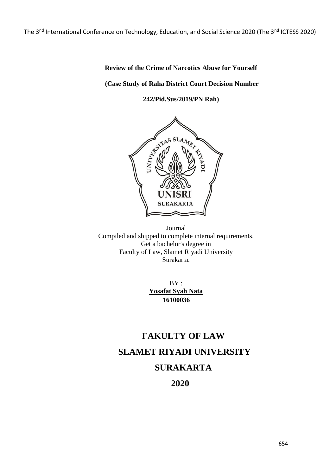The 3<sup>nd</sup> International Conference on Technology, Education, and Social Science 2020 (The 3<sup>nd</sup> ICTESS 2020)

# **Review of the Crime of Narcotics Abuse for Yourself**

### **(Case Study of Raha District Court Decision Number**

**242/Pid.Sus/2019/PN Rah)**



Journal Compiled and shipped to complete internal requirements. Get a bachelor's degree in Faculty of Law, Slamet Riyadi University Surakarta.

> BY: **Yosafat Syah Nata 16100036**

# **FAKULTY OF LAW SLAMET RIYADI UNIVERSITY SURAKARTA**

**2020**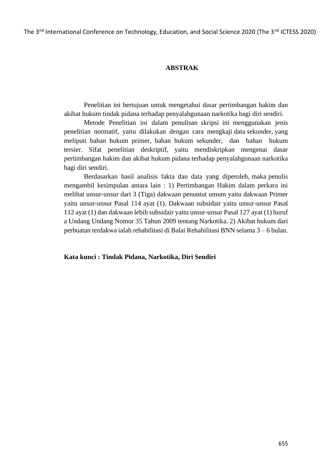The 3<sup>nd</sup> International Conference on Technology, Education, and Social Science 2020 (The 3<sup>nd</sup> ICTESS 2020)

### **ABSTRAK**

Penelitian ini bertujuan untuk mengetahui dasar pertimbangan hakim dan akibat hukum tindak pidana terhadap penyalahgunaan narkotika bagi diri sendiri.

Metode Penelitian ini dalam penulisan skripsi ini menggunakan jenis penelitian normatif, yaitu dilakukan dengan cara mengkaji data sekunder, yang meliputi bahan hukum primer, bahan hukum sekunder, dan bahan hukum tersier. Sifat penelitian deskriptif, yaitu mendiskripkan mengenai dasar pertimbangan hakim dan akibat hukum pidana terhadap penyalahgunaan narkotika bagi diri sendiri.

Berdasarkan hasil analisis fakta dan data yang diperoleh, maka penulis mengambil kesimpulan antara lain : 1) Pertimbangan Hakim dalam perkara ini melihat unsur-unsur dari 3 (Tiga) dakwaan penuntut umum yaitu dakwaan Primer yaitu unsur-unsur Pasal 114 ayat (1). Dakwaan subsidair yaitu unsur-unsur Pasal 112 ayat (1) dan dakwaan lebih subsidair yaitu unsur-unsur Pasal 127 ayat (1) huruf a Undang Undang Nomor 35 Tahun 2009 tentang Narkotika. 2) Akibat hukum dari perbuatan terdakwa ialah rehabilitasi di Balai Rehabilitasi BNN selama 3 – 6 bulan.

**Kata kunci : Tindak Pidana, Narkotika, Diri Sendiri**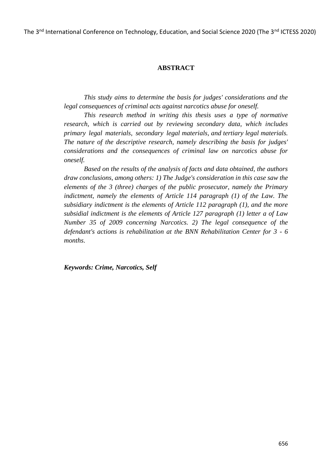The 3<sup>nd</sup> International Conference on Technology, Education, and Social Science 2020 (The 3<sup>nd</sup> ICTESS 2020)

### **ABSTRACT**

*This study aims to determine the basis for judges' considerations and the legal consequences of criminal acts against narcotics abuse for oneself.*

*This research method in writing this thesis uses a type of normative research, which is carried out by reviewing secondary data, which includes primary legal materials, secondary legal materials, and tertiary legal materials. The nature of the descriptive research, namely describing the basis for judges' considerations and the consequences of criminal law on narcotics abuse for oneself.*

*Based on the results of the analysis of facts and data obtained, the authors draw conclusions, among others: 1) The Judge's consideration in this case saw the elements of the 3 (three) charges of the public prosecutor, namely the Primary indictment, namely the elements of Article 114 paragraph (1) of the Law. The subsidiary indictment is the elements of Article 112 paragraph (1), and the more subsidial indictment is the elements of Article 127 paragraph (1) letter a of Law Number 35 of 2009 concerning Narcotics. 2) The legal consequence of the defendant's actions is rehabilitation at the BNN Rehabilitation Center for 3 - 6 months*.

*Keywords: Crime, Narcotics, Self*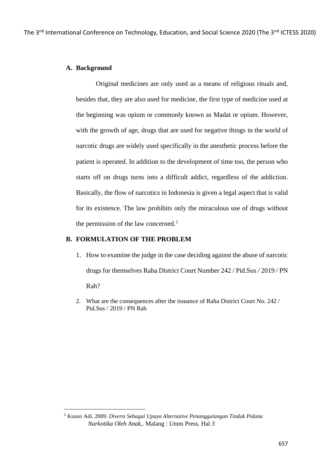### **A. Background**

Original medicines are only used as a means of religious rituals and, besides that, they are also used for medicine, the first type of medicine used at the beginning was opium or commonly known as Madat or opium. However, with the growth of age, drugs that are used for negative things in the world of narcotic drugs are widely used specifically in the anesthetic process before the patient is operated. In addition to the development of time too, the person who starts off on drugs turns into a difficult addict, regardless of the addiction. Basically, the flow of narcotics in Indonesia is given a legal aspect that is valid for its existence. The law prohibits only the miraculous use of drugs without the permission of the law concerned.<sup>1</sup>

### **B. FORMULATION OF THE PROBLEM**

- 1. How to examine the judge in the case deciding against the abuse of narcotic drugs for themselves Raha District Court Number 242 / Pid.Sus / 2019 / PN Rah?
- 2. What are the consequences after the issuance of Raha District Court No. 242 / Pid.Sus / 2019 / PN Rah

<sup>1</sup> Kusno Adi. 2009. *Diversi Sebagai Upaya Alternative Penanggulangan Tindak Pidana Narkotika Oleh Anak,*. Malang : Umm Press*.* Hal *3*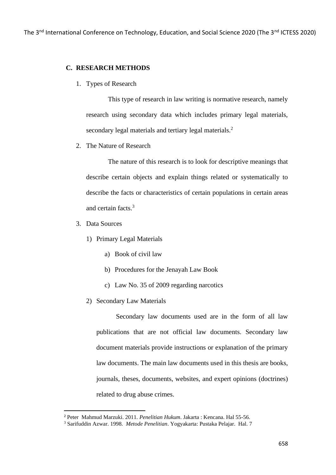### **C. RESEARCH METHODS**

1. Types of Research

This type of research in law writing is normative research, namely research using secondary data which includes primary legal materials, secondary legal materials and tertiary legal materials.<sup>2</sup>

2. The Nature of Research

The nature of this research is to look for descriptive meanings that describe certain objects and explain things related or systematically to describe the facts or characteristics of certain populations in certain areas and certain facts. 3

- 3. Data Sources
	- 1) Primary Legal Materials
		- a) Book of civil law
		- b) Procedures for the Jenayah Law Book
		- c) Law No. 35 of 2009 regarding narcotics
	- 2) Secondary Law Materials

Secondary law documents used are in the form of all law publications that are not official law documents. Secondary law document materials provide instructions or explanation of the primary law documents. The main law documents used in this thesis are books, journals, theses, documents, websites, and expert opinions (doctrines) related to drug abuse crimes.

<sup>2</sup> Peter Mahmud Marzuki. 2011. *Penelitian Hukum*. Jakarta : Kencana. Hal 55-56.

<sup>3</sup> Sarifuddin Azwar. 1998. *Metode Penelitian*. Yogyakarta: Pustaka Pelajar. Hal. 7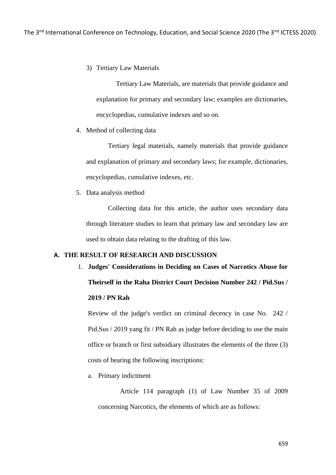3) Tertiary Law Materials

Tertiary Law Materials, are materials that provide guidance and explanation for primary and secondary law; examples are dictionaries, encyclopedias, cumulative indexes and so on.

4. Method of collecting data

Tertiary legal materials, namely materials that provide guidance and explanation of primary and secondary laws; for example, dictionaries, encyclopedias, cumulative indexes, etc.

5. Data analysis method

Collecting data for this article, the author uses secondary data through literature studies to learn that primary law and secondary law are used to obtain data relating to the drafting of this law.

### **A. THE RESULT OF RESEARCH AND DISCUSSION**

1. **Judges' Considerations in Deciding on Cases of Narcotics Abuse for Theirself in the Raha District Court Decision Number 242 / Pid.Sus / 2019 / PN Rah**

Review of the judge's verdict on criminal decency in case No. 242 / Pid.Sus / 2019 yang fit / PN Rah as judge before deciding to use the main office or branch or first subsidiary illustrates the elements of the three (3) costs of bearing the following inscriptions:

a. Primary indictment

Article 114 paragraph (1) of Law Number 35 of 2009 concerning Narcotics, the elements of which are as follows: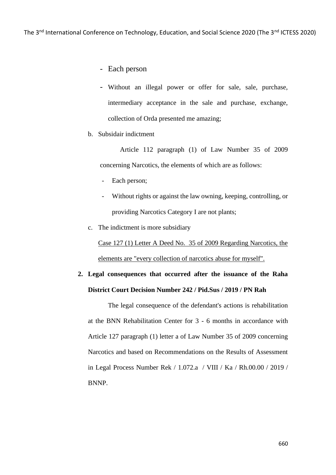- Each person
- Without an illegal power or offer for sale, sale, purchase, intermediary acceptance in the sale and purchase, exchange, collection of Orda presented me amazing;
- b. Subsidair indictment

Article 112 paragraph (1) of Law Number 35 of 2009 concerning Narcotics, the elements of which are as follows:

- Each person;
- Without rights or against the law owning, keeping, controlling, or providing Narcotics Category I are not plants;
- c. The indictment is more subsidiary

Case 127 (1) Letter A Deed No. 35 of 2009 Regarding Narcotics, the elements are "every collection of narcotics abuse for myself".

# **2. Legal consequences that occurred after the issuance of the Raha District Court Decision Number 242 / Pid.Sus / 2019 / PN Rah**

The legal consequence of the defendant's actions is rehabilitation at the BNN Rehabilitation Center for 3 - 6 months in accordance with Article 127 paragraph (1) letter a of Law Number 35 of 2009 concerning Narcotics and based on Recommendations on the Results of Assessment in Legal Process Number Rek / 1.072.a / VIII / Ka / Rh.00.00 / 2019 / BNNP.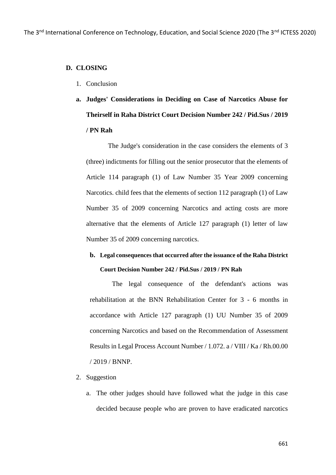### **D. CLOSING**

- 1. Conclusion
- **a. Judges' Considerations in Deciding on Case of Narcotics Abuse for Theirself in Raha District Court Decision Number 242 / Pid.Sus / 2019 / PN Rah**

The Judge's consideration in the case considers the elements of 3 (three) indictments for filling out the senior prosecutor that the elements of Article 114 paragraph (1) of Law Number 35 Year 2009 concerning Narcotics. child fees that the elements of section 112 paragraph (1) of Law Number 35 of 2009 concerning Narcotics and acting costs are more alternative that the elements of Article 127 paragraph (1) letter of law Number 35 of 2009 concerning narcotics.

# **b. Legal consequences that occurred after the issuance of the Raha District Court Decision Number 242 / Pid.Sus / 2019 / PN Rah**

The legal consequence of the defendant's actions was rehabilitation at the BNN Rehabilitation Center for 3 - 6 months in accordance with Article 127 paragraph (1) UU Number 35 of 2009 concerning Narcotics and based on the Recommendation of Assessment Results in Legal Process Account Number / 1.072. a / VIII / Ka / Rh.00.00 / 2019 / BNNP.

#### 2. Suggestion

a. The other judges should have followed what the judge in this case decided because people who are proven to have eradicated narcotics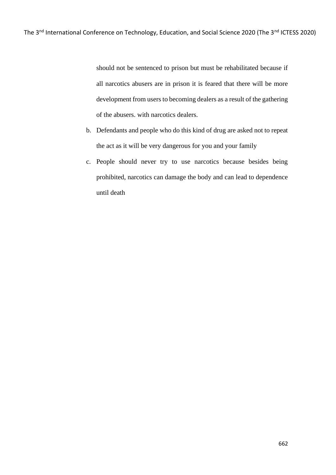should not be sentenced to prison but must be rehabilitated because if all narcotics abusers are in prison it is feared that there will be more development from users to becoming dealers as a result of the gathering of the abusers. with narcotics dealers.

- b. Defendants and people who do this kind of drug are asked not to repeat the act as it will be very dangerous for you and your family
- c. People should never try to use narcotics because besides being prohibited, narcotics can damage the body and can lead to dependence until death